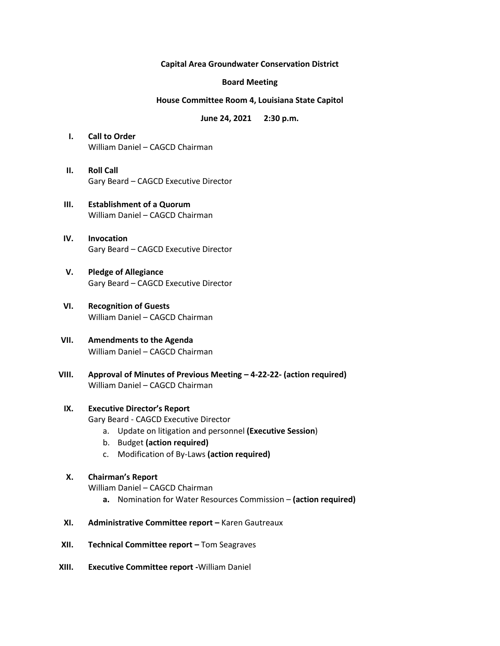### **Capital Area Groundwater Conservation District**

### **Board Meeting**

### **House Committee Room 4, Louisiana State Capitol**

**June 24, 2021 2:30 p.m.** 

- **I. Call to Order** William Daniel – CAGCD Chairman
- **II. Roll Call** Gary Beard – CAGCD Executive Director
- **III. Establishment of a Quorum** William Daniel – CAGCD Chairman
- **IV. Invocation** Gary Beard – CAGCD Executive Director
- **V. Pledge of Allegiance** Gary Beard – CAGCD Executive Director
- **VI. Recognition of Guests** William Daniel – CAGCD Chairman
- **VII. Amendments to the Agenda** William Daniel – CAGCD Chairman
- **VIII. Approval of Minutes of Previous Meeting – 4-22-22- (action required)** William Daniel – CAGCD Chairman

## **IX. Executive Director's Report**

Gary Beard - CAGCD Executive Director

- a. Update on litigation and personnel **(Executive Session**)
- b. Budget **(action required)**
- c. Modification of By-Laws **(action required)**

# **X. Chairman's Report**

William Daniel – CAGCD Chairman

- **a.** Nomination for Water Resources Commission **(action required)**
- **XI. Administrative Committee report –** Karen Gautreaux
- **XII. Technical Committee report –** Tom Seagraves
- **XIII. Executive Committee report -**William Daniel